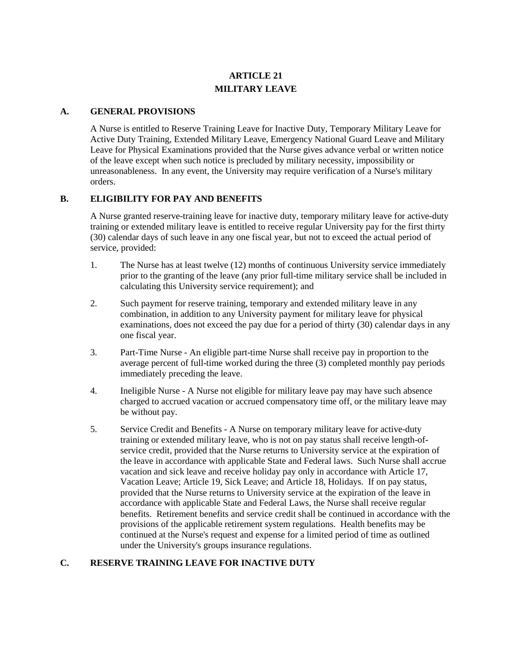# **ARTICLE 21 MILITARY LEAVE**

#### **A. GENERAL PROVISIONS**

A Nurse is entitled to Reserve Training Leave for Inactive Duty, Temporary Military Leave for Active Duty Training, Extended Military Leave, Emergency National Guard Leave and Military Leave for Physical Examinations provided that the Nurse gives advance verbal or written notice of the leave except when such notice is precluded by military necessity, impossibility or unreasonableness. In any event, the University may require verification of a Nurse's military orders.

#### **B. ELIGIBILITY FOR PAY AND BENEFITS**

A Nurse granted reserve-training leave for inactive duty, temporary military leave for active-duty training or extended military leave is entitled to receive regular University pay for the first thirty (30) calendar days of such leave in any one fiscal year, but not to exceed the actual period of service, provided:

- 1. The Nurse has at least twelve (12) months of continuous University service immediately prior to the granting of the leave (any prior full-time military service shall be included in calculating this University service requirement); and
- 2. Such payment for reserve training, temporary and extended military leave in any combination, in addition to any University payment for military leave for physical examinations, does not exceed the pay due for a period of thirty (30) calendar days in any one fiscal year.
- 3. Part-Time Nurse An eligible part-time Nurse shall receive pay in proportion to the average percent of full-time worked during the three (3) completed monthly pay periods immediately preceding the leave.
- 4. Ineligible Nurse A Nurse not eligible for military leave pay may have such absence charged to accrued vacation or accrued compensatory time off, or the military leave may be without pay.
- 5. Service Credit and Benefits A Nurse on temporary military leave for active-duty training or extended military leave, who is not on pay status shall receive length-ofservice credit, provided that the Nurse returns to University service at the expiration of the leave in accordance with applicable State and Federal laws. Such Nurse shall accrue vacation and sick leave and receive holiday pay only in accordance with Article 17, Vacation Leave; Article 19, Sick Leave; and Article 18, Holidays. If on pay status, provided that the Nurse returns to University service at the expiration of the leave in accordance with applicable State and Federal Laws, the Nurse shall receive regular benefits. Retirement benefits and service credit shall be continued in accordance with the provisions of the applicable retirement system regulations. Health benefits may be continued at the Nurse's request and expense for a limited period of time as outlined under the University's groups insurance regulations.

#### **C. RESERVE TRAINING LEAVE FOR INACTIVE DUTY**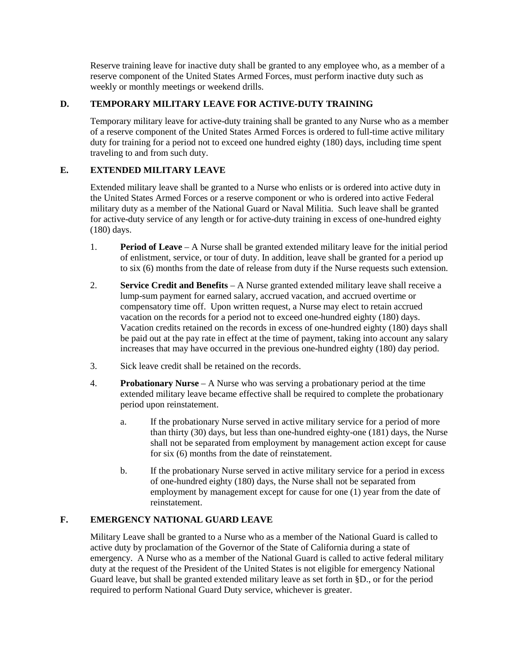Reserve training leave for inactive duty shall be granted to any employee who, as a member of a reserve component of the United States Armed Forces, must perform inactive duty such as weekly or monthly meetings or weekend drills.

### **D. TEMPORARY MILITARY LEAVE FOR ACTIVE-DUTY TRAINING**

Temporary military leave for active-duty training shall be granted to any Nurse who as a member of a reserve component of the United States Armed Forces is ordered to full-time active military duty for training for a period not to exceed one hundred eighty (180) days, including time spent traveling to and from such duty.

### **E. EXTENDED MILITARY LEAVE**

Extended military leave shall be granted to a Nurse who enlists or is ordered into active duty in the United States Armed Forces or a reserve component or who is ordered into active Federal military duty as a member of the National Guard or Naval Militia. Such leave shall be granted for active-duty service of any length or for active-duty training in excess of one-hundred eighty (180) days.

- 1. **Period of Leave** A Nurse shall be granted extended military leave for the initial period of enlistment, service, or tour of duty. In addition, leave shall be granted for a period up to six (6) months from the date of release from duty if the Nurse requests such extension.
- 2. **Service Credit and Benefits** A Nurse granted extended military leave shall receive a lump-sum payment for earned salary, accrued vacation, and accrued overtime or compensatory time off. Upon written request, a Nurse may elect to retain accrued vacation on the records for a period not to exceed one-hundred eighty (180) days. Vacation credits retained on the records in excess of one-hundred eighty (180) days shall be paid out at the pay rate in effect at the time of payment, taking into account any salary increases that may have occurred in the previous one-hundred eighty (180) day period.
- 3. Sick leave credit shall be retained on the records.
- 4. **Probationary Nurse** A Nurse who was serving a probationary period at the time extended military leave became effective shall be required to complete the probationary period upon reinstatement.
	- a. If the probationary Nurse served in active military service for a period of more than thirty (30) days, but less than one-hundred eighty-one (181) days, the Nurse shall not be separated from employment by management action except for cause for six (6) months from the date of reinstatement.
	- b. If the probationary Nurse served in active military service for a period in excess of one-hundred eighty (180) days, the Nurse shall not be separated from employment by management except for cause for one (1) year from the date of reinstatement.

## **F. EMERGENCY NATIONAL GUARD LEAVE**

Military Leave shall be granted to a Nurse who as a member of the National Guard is called to active duty by proclamation of the Governor of the State of California during a state of emergency. A Nurse who as a member of the National Guard is called to active federal military duty at the request of the President of the United States is not eligible for emergency National Guard leave, but shall be granted extended military leave as set forth in §D., or for the period required to perform National Guard Duty service, whichever is greater.